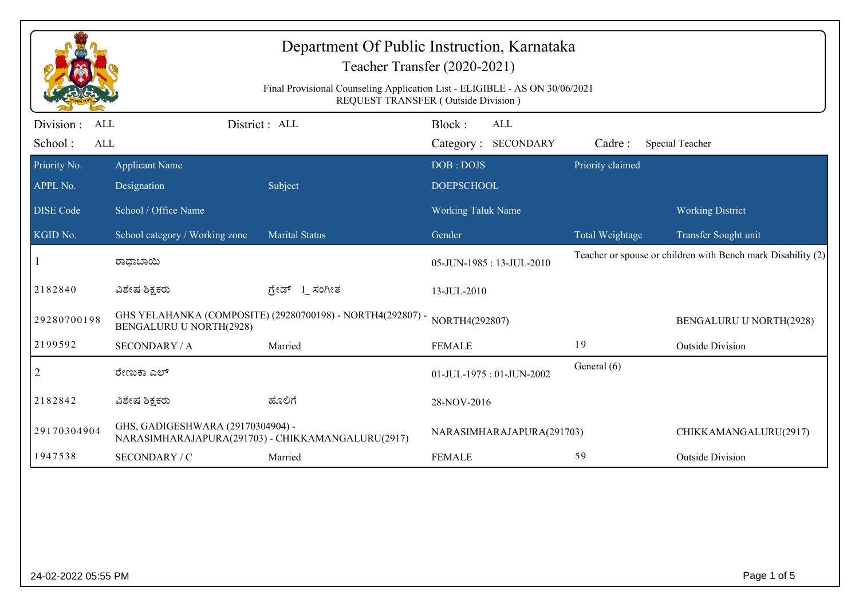| Department Of Public Instruction, Karnataka<br>Teacher Transfer (2020-2021)                                        |                                                                                              |                       |                                      |                  |                                                              |  |  |
|--------------------------------------------------------------------------------------------------------------------|----------------------------------------------------------------------------------------------|-----------------------|--------------------------------------|------------------|--------------------------------------------------------------|--|--|
| Final Provisional Counseling Application List - ELIGIBLE - AS ON 30/06/2021<br>REQUEST TRANSFER (Outside Division) |                                                                                              |                       |                                      |                  |                                                              |  |  |
| Division:<br><b>ALL</b><br>School:<br>ALL                                                                          |                                                                                              | District : ALL        | Block:<br>ALL<br>Category: SECONDARY | Cadre:           | Special Teacher                                              |  |  |
| Priority No.                                                                                                       | <b>Applicant Name</b>                                                                        |                       | DOB: DOJS                            | Priority claimed |                                                              |  |  |
| APPL No.                                                                                                           | Designation                                                                                  | Subject               | <b>DOEPSCHOOL</b>                    |                  |                                                              |  |  |
| <b>DISE</b> Code                                                                                                   | School / Office Name                                                                         |                       | <b>Working Taluk Name</b>            |                  | <b>Working District</b>                                      |  |  |
| KGID No.                                                                                                           | School category / Working zone                                                               | <b>Marital Status</b> | Gender                               | Total Weightage  | Transfer Sought unit                                         |  |  |
|                                                                                                                    | ರಾಧಾಬಾಯಿ                                                                                     |                       | 05-JUN-1985: 13-JUL-2010             |                  | Teacher or spouse or children with Bench mark Disability (2) |  |  |
| 2182840                                                                                                            | ವಿಶೇಷ ಶಿಕ್ಷಕರು                                                                               | ಗ್ರೇಡ್ I_ಸಂಗೀತ        | 13-JUL-2010                          |                  |                                                              |  |  |
| 29280700198                                                                                                        | GHS YELAHANKA (COMPOSITE) (29280700198) - NORTH4(292807) -<br><b>BENGALURU U NORTH(2928)</b> |                       | NORTH4(292807)                       |                  | <b>BENGALURU U NORTH(2928)</b>                               |  |  |
| 2199592                                                                                                            | <b>SECONDARY / A</b>                                                                         | Married               | <b>FEMALE</b>                        | 19               | <b>Outside Division</b>                                      |  |  |
| $\overline{2}$                                                                                                     | ರೇಣುಕಾ ಎಲ್                                                                                   |                       | 01-JUL-1975: 01-JUN-2002             | General (6)      |                                                              |  |  |
| 2182842                                                                                                            | ವಿಶೇಷ ಶಿಕ್ಷಕರು                                                                               | ಹೊಲಿಗೆ                | 28-NOV-2016                          |                  |                                                              |  |  |
| 29170304904                                                                                                        | GHS, GADIGESHWARA (29170304904) -<br>NARASIMHARAJAPURA(291703) - CHIKKAMANGALURU(2917)       |                       | NARASIMHARAJAPURA(291703)            |                  | CHIKKAMANGALURU(2917)                                        |  |  |
| 1947538                                                                                                            | SECONDARY / C                                                                                | Married               | <b>FEMALE</b>                        | 59               | <b>Outside Division</b>                                      |  |  |
|                                                                                                                    |                                                                                              |                       |                                      |                  |                                                              |  |  |
| 24-02-2022 05:55 PM                                                                                                |                                                                                              |                       |                                      |                  | Page 1 of 5                                                  |  |  |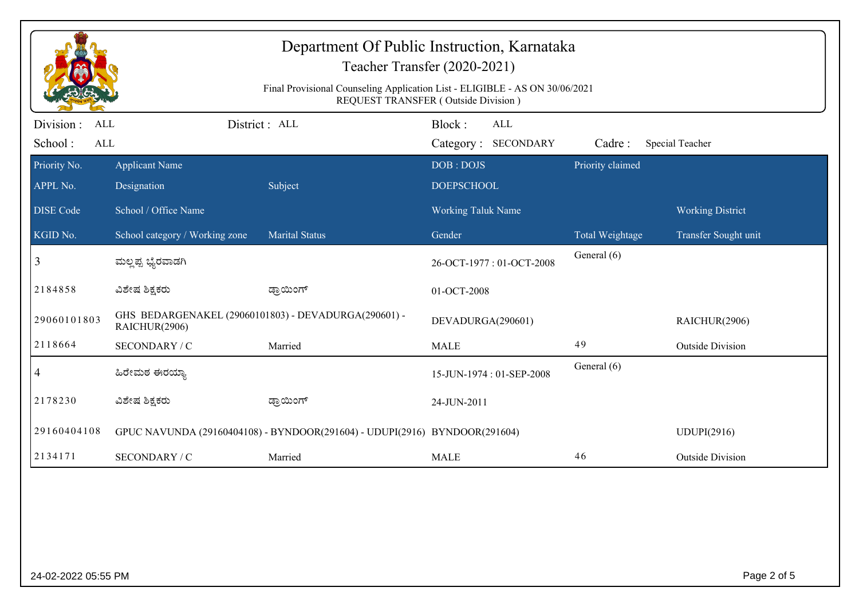| Department Of Public Instruction, Karnataka<br>Teacher Transfer (2020-2021)<br>Final Provisional Counseling Application List - ELIGIBLE - AS ON 30/06/2021<br>REQUEST TRANSFER (Outside Division) |                                                                            |                       |                    |                          |                        |                         |  |
|---------------------------------------------------------------------------------------------------------------------------------------------------------------------------------------------------|----------------------------------------------------------------------------|-----------------------|--------------------|--------------------------|------------------------|-------------------------|--|
| Division :<br><b>ALL</b>                                                                                                                                                                          |                                                                            | District: ALL         | Block:             | <b>ALL</b>               |                        |                         |  |
| School:<br>ALL                                                                                                                                                                                    |                                                                            |                       |                    | Category: SECONDARY      | Cadre:                 | Special Teacher         |  |
| Priority No.                                                                                                                                                                                      | <b>Applicant Name</b>                                                      |                       | DOB: DOJS          |                          | Priority claimed       |                         |  |
| APPL No.                                                                                                                                                                                          | Designation                                                                | Subject               | <b>DOEPSCHOOL</b>  |                          |                        |                         |  |
| <b>DISE Code</b>                                                                                                                                                                                  | School / Office Name                                                       |                       | Working Taluk Name |                          |                        | <b>Working District</b> |  |
| KGID No.                                                                                                                                                                                          | School category / Working zone                                             | <b>Marital Status</b> | Gender             |                          | <b>Total Weightage</b> | Transfer Sought unit    |  |
| 3                                                                                                                                                                                                 | ಮಲ್ಲಪ್ಪ ಭ್ಯೆರವಾಡಗಿ                                                         |                       |                    | 26-OCT-1977: 01-OCT-2008 | General (6)            |                         |  |
| 2184858                                                                                                                                                                                           | ವಿಶೇಷ ಶಿಕ್ಷಕರು                                                             | ಡ್ರಾಯಿಂಗ್             | 01-OCT-2008        |                          |                        |                         |  |
| 29060101803                                                                                                                                                                                       | GHS BEDARGENAKEL (29060101803) - DEVADURGA(290601) -<br>RAICHUR(2906)      |                       | DEVADURGA(290601)  |                          |                        | RAICHUR(2906)           |  |
| 2118664                                                                                                                                                                                           | SECONDARY / C                                                              | Married               | <b>MALE</b>        |                          | 49                     | <b>Outside Division</b> |  |
| 4                                                                                                                                                                                                 | ಹಿರೇಮಠ ಈರಯ್ಯಾ                                                              |                       |                    | 15-JUN-1974: 01-SEP-2008 | General (6)            |                         |  |
| 2178230                                                                                                                                                                                           | ವಿಶೇಷ ಶಿಕ್ಷಕರು                                                             | ಡ್ರಾಯಿಂಗ್             | 24-JUN-2011        |                          |                        |                         |  |
| 29160404108                                                                                                                                                                                       | GPUC NAVUNDA (29160404108) - BYNDOOR(291604) - UDUPI(2916) BYNDOOR(291604) |                       |                    |                          |                        | <b>UDUPI(2916)</b>      |  |
| 2134171                                                                                                                                                                                           | SECONDARY / C                                                              | Married               | <b>MALE</b>        |                          | 46                     | <b>Outside Division</b> |  |
|                                                                                                                                                                                                   |                                                                            |                       |                    |                          |                        |                         |  |
| 24-02-2022 05:55 PM                                                                                                                                                                               |                                                                            |                       |                    |                          |                        | Page 2 of 5             |  |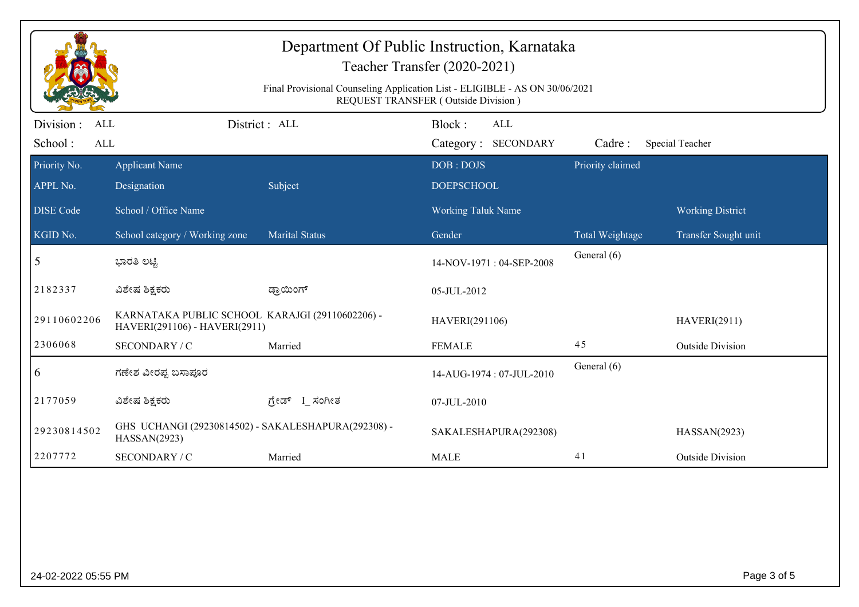| Department Of Public Instruction, Karnataka<br>Teacher Transfer (2020-2021)<br>Final Provisional Counseling Application List - ELIGIBLE - AS ON 30/06/2021 |                                                                                  |                       |                                      |                  |                         |  |  |
|------------------------------------------------------------------------------------------------------------------------------------------------------------|----------------------------------------------------------------------------------|-----------------------|--------------------------------------|------------------|-------------------------|--|--|
| REQUEST TRANSFER (Outside Division)                                                                                                                        |                                                                                  |                       |                                      |                  |                         |  |  |
| Division :<br>ALL<br>School:<br>ALL                                                                                                                        |                                                                                  | District : ALL        | Block:<br>ALL<br>Category: SECONDARY | Cadre:           | <b>Special Teacher</b>  |  |  |
| Priority No.                                                                                                                                               | <b>Applicant Name</b>                                                            |                       | DOB: DOJS                            | Priority claimed |                         |  |  |
| APPL No.                                                                                                                                                   | Designation                                                                      | Subject               | <b>DOEPSCHOOL</b>                    |                  |                         |  |  |
| <b>DISE Code</b>                                                                                                                                           | School / Office Name                                                             |                       | Working Taluk Name                   |                  | <b>Working District</b> |  |  |
| KGID No.                                                                                                                                                   | School category / Working zone                                                   | <b>Marital Status</b> | Gender                               | Total Weightage  | Transfer Sought unit    |  |  |
| 5                                                                                                                                                          | ಭಾರತಿ ಲಟ್ಟಿ                                                                      |                       | 14-NOV-1971: 04-SEP-2008             | General (6)      |                         |  |  |
| 2182337                                                                                                                                                    | ವಿಶೇಷ ಶಿಕ್ಷಕರು                                                                   | ಡ್ರಾಯಿಂಗ್             | 05-JUL-2012                          |                  |                         |  |  |
| 29110602206                                                                                                                                                | KARNATAKA PUBLIC SCHOOL KARAJGI (29110602206) -<br>HAVERI(291106) - HAVERI(2911) |                       | HAVERI(291106)                       |                  | <b>HAVERI(2911)</b>     |  |  |
| 2306068                                                                                                                                                    | <b>SECONDARY / C</b>                                                             | Married               | <b>FEMALE</b>                        | 45               | <b>Outside Division</b> |  |  |
| 6                                                                                                                                                          | ಗಣೇಶ ವೀರಪ್ಪ ಬಸಾಪೂರ                                                               |                       | 14-AUG-1974: 07-JUL-2010             | General (6)      |                         |  |  |
| 2177059                                                                                                                                                    | ವಿಶೇಷ ಶಿಕ್ಷಕರು                                                                   | ಗ್ರೇಡ್ I_ಸಂಗೀತ        | 07-JUL-2010                          |                  |                         |  |  |
| 29230814502                                                                                                                                                | GHS UCHANGI (29230814502) - SAKALESHAPURA(292308) -<br>HASSAN(2923)              |                       | SAKALESHAPURA(292308)                |                  | HASSAN(2923)            |  |  |
| 2207772                                                                                                                                                    | SECONDARY / C                                                                    | Married               | <b>MALE</b>                          | 41               | <b>Outside Division</b> |  |  |
|                                                                                                                                                            |                                                                                  |                       |                                      |                  |                         |  |  |
| 24-02-2022 05:55 PM                                                                                                                                        |                                                                                  |                       |                                      |                  | Page 3 of 5             |  |  |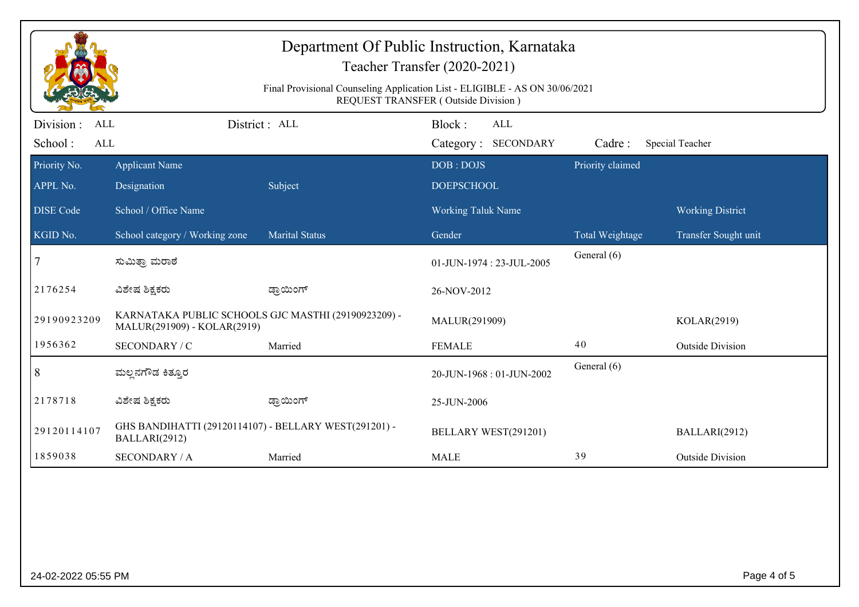| Department Of Public Instruction, Karnataka<br>Teacher Transfer (2020-2021)<br>Final Provisional Counseling Application List - ELIGIBLE - AS ON 30/06/2021<br>REQUEST TRANSFER (Outside Division) |                                                                                    |                       |                          |                  |                         |  |
|---------------------------------------------------------------------------------------------------------------------------------------------------------------------------------------------------|------------------------------------------------------------------------------------|-----------------------|--------------------------|------------------|-------------------------|--|
| Division :<br><b>ALL</b>                                                                                                                                                                          |                                                                                    | District: ALL         | Block:<br><b>ALL</b>     |                  |                         |  |
| School:<br>ALL                                                                                                                                                                                    |                                                                                    |                       | Category: SECONDARY      | Cadre:           | Special Teacher         |  |
| Priority No.                                                                                                                                                                                      | <b>Applicant Name</b>                                                              |                       | DOB: DOJS                | Priority claimed |                         |  |
| APPL No.                                                                                                                                                                                          | Designation                                                                        | Subject               | <b>DOEPSCHOOL</b>        |                  |                         |  |
| <b>DISE Code</b>                                                                                                                                                                                  | School / Office Name                                                               |                       | Working Taluk Name       |                  | <b>Working District</b> |  |
| KGID No.                                                                                                                                                                                          | School category / Working zone                                                     | <b>Marital Status</b> | Gender                   | Total Weightage  | Transfer Sought unit    |  |
| 7                                                                                                                                                                                                 | ಸುಮಿತ್ರಾ ಮರಾಠೆ                                                                     |                       | 01-JUN-1974: 23-JUL-2005 | General (6)      |                         |  |
| 2176254                                                                                                                                                                                           | ವಿಶೇಷ ಶಿಕ್ಷಕರು                                                                     | ಡ್ರಾಯಿಂಗ್             | 26-NOV-2012              |                  |                         |  |
| 29190923209                                                                                                                                                                                       | KARNATAKA PUBLIC SCHOOLS GJC MASTHI (29190923209) -<br>MALUR(291909) - KOLAR(2919) |                       | MALUR(291909)            |                  | KOLAR(2919)             |  |
| 1956362                                                                                                                                                                                           | SECONDARY / C                                                                      | Married               | <b>FEMALE</b>            | 40               | <b>Outside Division</b> |  |
| 8                                                                                                                                                                                                 | ಮಲ್ಲನಗೌಡ ಕಿತ್ತೂರ                                                                   |                       | 20-JUN-1968: 01-JUN-2002 | General (6)      |                         |  |
| 2178718                                                                                                                                                                                           | ವಿಶೇಷ ಶಿಕ್ಷಕರು                                                                     | ಡ್ರಾಯಿಂಗ್             | 25-JUN-2006              |                  |                         |  |
| 29120114107                                                                                                                                                                                       | GHS BANDIHATTI (29120114107) - BELLARY WEST(291201) -<br>BALLARI(2912)             |                       | BELLARY WEST(291201)     |                  | BALLARI(2912)           |  |
| 1859038                                                                                                                                                                                           | <b>SECONDARY / A</b>                                                               | Married               | <b>MALE</b>              | 39               | <b>Outside Division</b> |  |
|                                                                                                                                                                                                   |                                                                                    |                       |                          |                  |                         |  |
| 24-02-2022 05:55 PM                                                                                                                                                                               |                                                                                    |                       |                          |                  | Page 4 of 5             |  |